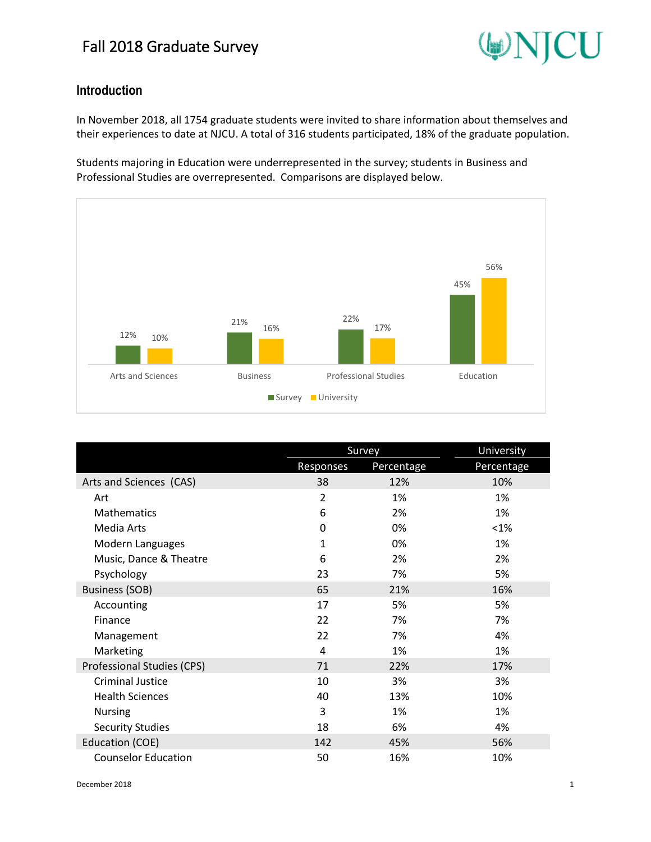

### **Introduction**

In November 2018, all 1754 graduate students were invited to share information about themselves and their experiences to date at NJCU. A total of 316 students participated, 18% of the graduate population.

Students majoring in Education were underrepresented in the survey; students in Business and Professional Studies are overrepresented. Comparisons are displayed below.



|                            |                | <b>Survey</b> | University |  |
|----------------------------|----------------|---------------|------------|--|
|                            | Responses      | Percentage    | Percentage |  |
| Arts and Sciences (CAS)    | 38             | 12%           | 10%        |  |
| Art                        | $\overline{2}$ | 1%            | 1%         |  |
| <b>Mathematics</b>         | 6              | 2%            | 1%         |  |
| Media Arts                 | 0              | 0%            | $< 1\%$    |  |
| Modern Languages           | 1              | 0%            | 1%         |  |
| Music, Dance & Theatre     | 6              | 2%            | 2%         |  |
| Psychology                 | 23             | 7%            | 5%         |  |
| <b>Business (SOB)</b>      | 65             | 21%           | 16%        |  |
| Accounting                 | 17             | 5%            | 5%         |  |
| Finance                    | 22             | 7%            | 7%         |  |
| Management                 | 22             | 7%            | 4%         |  |
| Marketing                  | 4              | 1%            | 1%         |  |
| Professional Studies (CPS) | 71             | 22%           | 17%        |  |
| <b>Criminal Justice</b>    | 10             | 3%            | 3%         |  |
| <b>Health Sciences</b>     | 40             | 13%           | 10%        |  |
| <b>Nursing</b>             | 3              | 1%            | 1%         |  |
| <b>Security Studies</b>    | 18             | 6%            | 4%         |  |
| Education (COE)            | 142            | 45%           | 56%        |  |
| <b>Counselor Education</b> | 50             | 16%           | 10%        |  |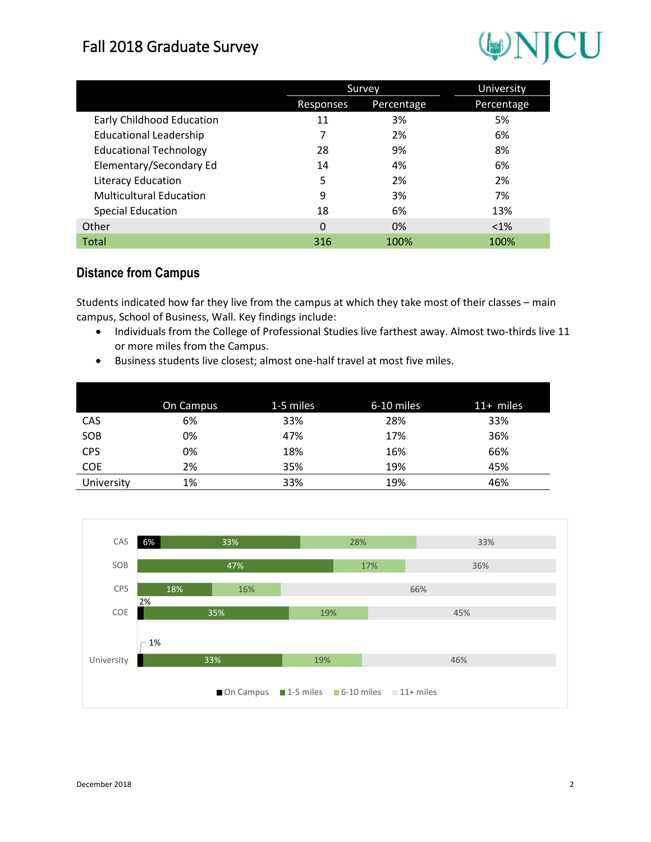# WNJCU

|                                |           | Survey     | University |  |
|--------------------------------|-----------|------------|------------|--|
|                                | Responses | Percentage | Percentage |  |
| Early Childhood Education      | 11        | 3%         | 5%         |  |
| <b>Educational Leadership</b>  |           | 2%         | 6%         |  |
| <b>Educational Technology</b>  | 28        | 9%         | 8%         |  |
| Elementary/Secondary Ed        | 14        | 4%         | 6%         |  |
| Literacy Education             | 5         | 2%         | 2%         |  |
| <b>Multicultural Education</b> | 9         | 3%         | 7%         |  |
| <b>Special Education</b>       | 18        | 6%         | 13%        |  |
| Other                          | $\Omega$  | 0%         | $< 1\%$    |  |
| Total                          | 316       | 100%       | 100%       |  |

### **Distance from Campus**

Students indicated how far they live from the campus at which they take most of their classes – main campus, School of Business, Wall. Key findings include:

- Individuals from the College of Professional Studies live farthest away. Almost two-thirds live 11 or more miles from the Campus.
- Business students live closest; almost one-half travel at most five miles.

|            | On Campus | 1-5 miles | 6-10 miles | $11+$ miles |
|------------|-----------|-----------|------------|-------------|
| CAS        | 6%        | 33%       | 28%        | 33%         |
| SOB        | 0%        | 47%       | 17%        | 36%         |
| <b>CPS</b> | 0%        | 18%       | 16%        | 66%         |
| <b>COE</b> | 2%        | 35%       | 19%        | 45%         |
| University | 1%        | 33%       | 19%        | 46%         |

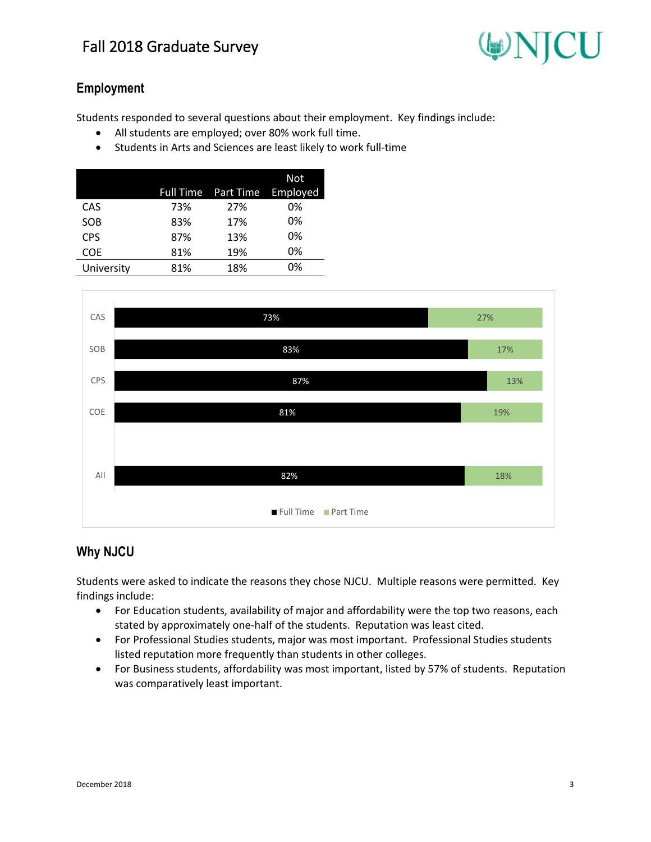

### **Employment**

Students responded to several questions about their employment. Key findings include:

- All students are employed; over 80% work full time.
- Students in Arts and Sciences are least likely to work full-time

|            |     |                              | Not |
|------------|-----|------------------------------|-----|
|            |     | Full Time Part Time Employed |     |
| CAS        | 73% | 27%                          | 0%  |
| SOB        | 83% | 17%                          | 0%  |
| <b>CPS</b> | 87% | 13%                          | 0%  |
| <b>COE</b> | 81% | 19%                          | 0%  |
| University | 81% | 18%                          | 0%  |
|            |     |                              |     |



#### **Why NJCU**

Students were asked to indicate the reasons they chose NJCU. Multiple reasons were permitted. Key findings include:

- For Education students, availability of major and affordability were the top two reasons, each stated by approximately one-half of the students. Reputation was least cited.
- For Professional Studies students, major was most important. Professional Studies students listed reputation more frequently than students in other colleges.
- For Business students, affordability was most important, listed by 57% of students. Reputation was comparatively least important.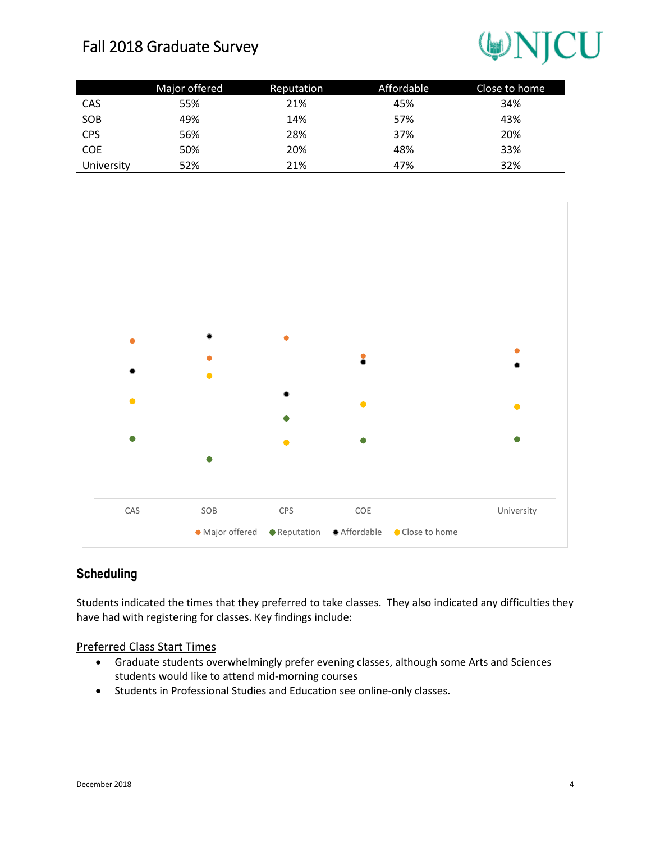## WNJCU

|            | Major offered | Reputation | Affordable | Close to home |
|------------|---------------|------------|------------|---------------|
| CAS        | 55%           | 21%        | 45%        | 34%           |
| SOB        | 49%           | 14%        | 57%        | 43%           |
| <b>CPS</b> | 56%           | 28%        | 37%        | 20%           |
| <b>COE</b> | 50%           | 20%        | 48%        | 33%           |
| University | 52%           | 21%        | 47%        | 32%           |



#### **Scheduling**

Students indicated the times that they preferred to take classes. They also indicated any difficulties they have had with registering for classes. Key findings include:

#### Preferred Class Start Times

- Graduate students overwhelmingly prefer evening classes, although some Arts and Sciences students would like to attend mid-morning courses
- Students in Professional Studies and Education see online-only classes.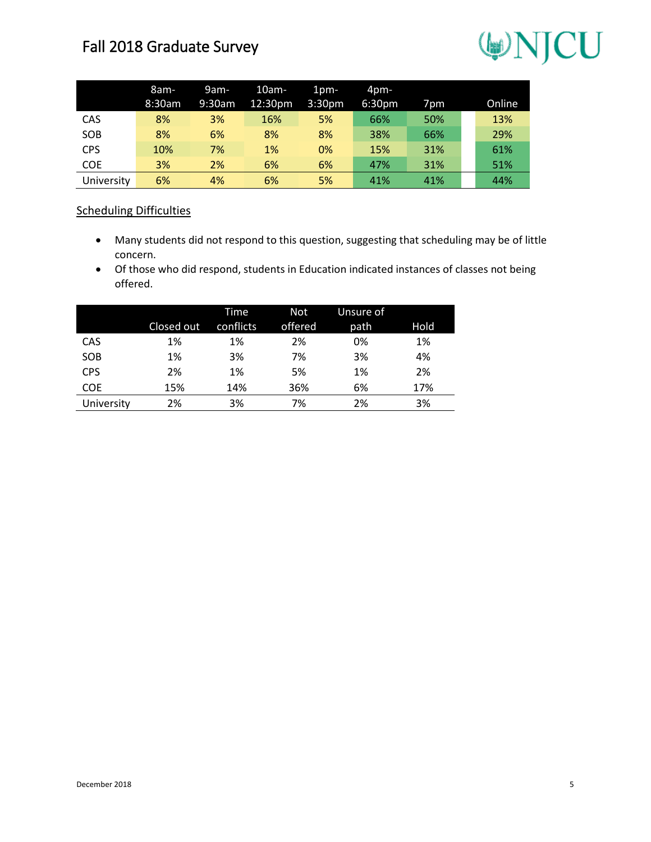# WNJCU

|            | 8am-      | 9am-   | $10am-$ | $1pm-$             | $4pm-$ |                 |        |
|------------|-----------|--------|---------|--------------------|--------|-----------------|--------|
|            | $8:30$ am | 9:30am | 12:30pm | 3:30 <sub>pm</sub> | 6:30pm | 7 <sub>pm</sub> | Online |
| CAS        | 8%        | 3%     | 16%     | 5%                 | 66%    | 50%             | 13%    |
| SOB        | 8%        | 6%     | 8%      | 8%                 | 38%    | 66%             | 29%    |
| <b>CPS</b> | 10%       | 7%     | 1%      | 0%                 | 15%    | 31%             | 61%    |
| <b>COE</b> | 3%        | 2%     | 6%      | 6%                 | 47%    | 31%             | 51%    |
| University | 6%        | 4%     | 6%      | 5%                 | 41%    | 41%             | 44%    |

#### Scheduling Difficulties

- Many students did not respond to this question, suggesting that scheduling may be of little concern.
- Of those who did respond, students in Education indicated instances of classes not being offered.

|            | Closed out | Time<br>conflicts | <b>Not</b><br>offered | Unsure of<br>path | Hold |
|------------|------------|-------------------|-----------------------|-------------------|------|
| CAS        | 1%         | 1%                | 2%                    | 0%                | 1%   |
| SOB        | 1%         | 3%                | 7%                    | 3%                | 4%   |
| <b>CPS</b> | 2%         | 1%                | 5%                    | 1%                | 2%   |
| <b>COE</b> | 15%        | 14%               | 36%                   | 6%                | 17%  |
| University | 2%         | 3%                | 7%                    | 2%                | 3%   |